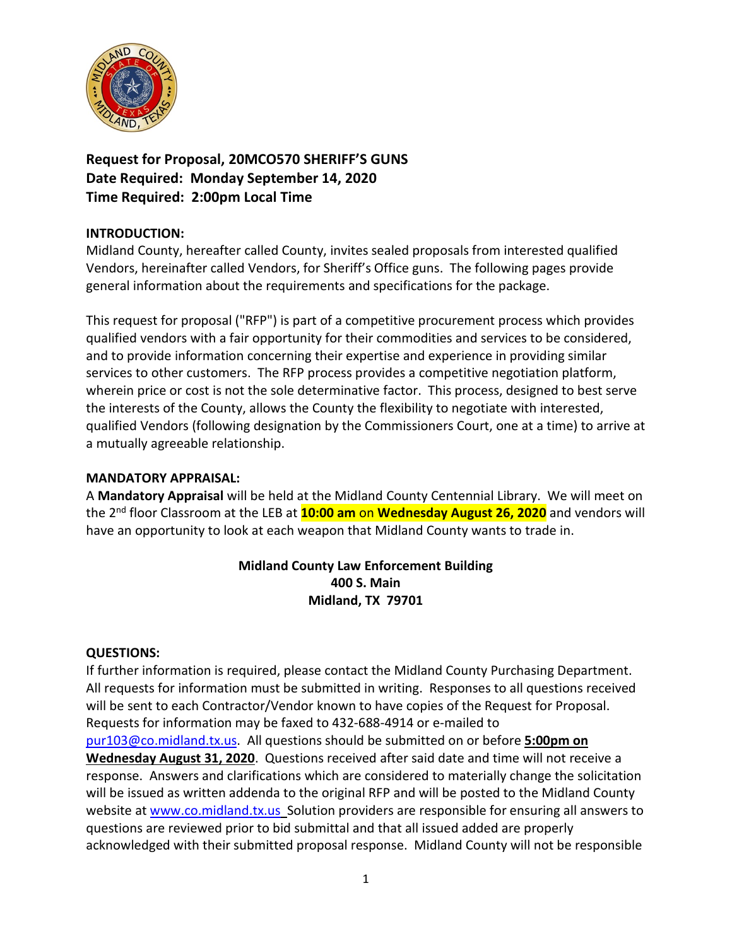

**Request for Proposal, 20MCO570 SHERIFF'S GUNS Date Required: Monday September 14, 2020 Time Required: 2:00pm Local Time**

## **INTRODUCTION:**

Midland County, hereafter called County, invites sealed proposals from interested qualified Vendors, hereinafter called Vendors, for Sheriff's Office guns. The following pages provide general information about the requirements and specifications for the package.

This request for proposal ("RFP") is part of a competitive procurement process which provides qualified vendors with a fair opportunity for their commodities and services to be considered, and to provide information concerning their expertise and experience in providing similar services to other customers. The RFP process provides a competitive negotiation platform, wherein price or cost is not the sole determinative factor. This process, designed to best serve the interests of the County, allows the County the flexibility to negotiate with interested, qualified Vendors (following designation by the Commissioners Court, one at a time) to arrive at a mutually agreeable relationship.

#### **MANDATORY APPRAISAL:**

A **Mandatory Appraisal** will be held at the Midland County Centennial Library. We will meet on the 2nd floor Classroom at the LEB at **10:00 am** on **Wednesday August 26, 2020** and vendors will have an opportunity to look at each weapon that Midland County wants to trade in.

# **Midland County Law Enforcement Building 400 S. Main Midland, TX 79701**

#### **QUESTIONS:**

If further information is required, please contact the Midland County Purchasing Department. All requests for information must be submitted in writing. Responses to all questions received will be sent to each Contractor/Vendor known to have copies of the Request for Proposal. Requests for information may be faxed to 432-688-4914 or e-mailed to [pur103@co.midland.tx.us.](mailto:pur103@co.midland.tx.us) All questions should be submitted on or before **5:00pm on Wednesday August 31, 2020**. Questions received after said date and time will not receive a response. Answers and clarifications which are considered to materially change the solicitation will be issued as written addenda to the original RFP and will be posted to the Midland County website at [www.co.midland.tx.us](http://www.co.midland.tx.us/) Solution providers are responsible for ensuring all answers to questions are reviewed prior to bid submittal and that all issued added are properly acknowledged with their submitted proposal response. Midland County will not be responsible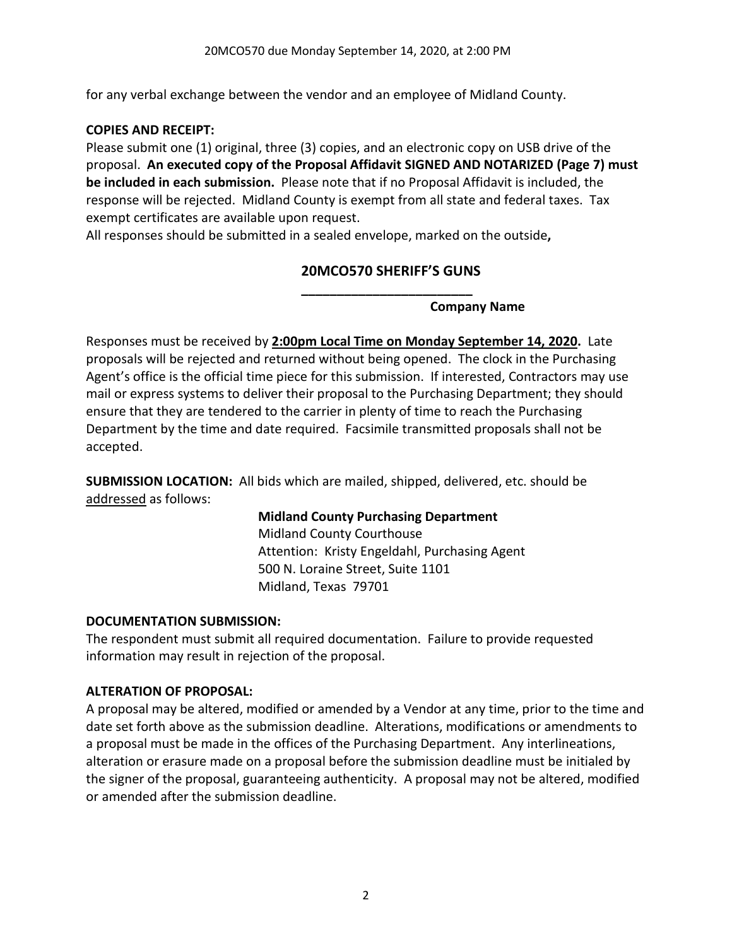for any verbal exchange between the vendor and an employee of Midland County.

## **COPIES AND RECEIPT:**

Please submit one (1) original, three (3) copies, and an electronic copy on USB drive of the proposal. **An executed copy of the Proposal Affidavit SIGNED AND NOTARIZED (Page 7) must be included in each submission.** Please note that if no Proposal Affidavit is included, the response will be rejected. Midland County is exempt from all state and federal taxes. Tax exempt certificates are available upon request.

All responses should be submitted in a sealed envelope, marked on the outside**,** 

# **20MCO570 SHERIFF'S GUNS \_\_\_\_\_\_\_\_\_\_\_\_\_\_\_\_\_\_\_\_\_\_\_\_**

**Company Name**

Responses must be received by **2:00pm Local Time on Monday September 14, 2020.** Late proposals will be rejected and returned without being opened. The clock in the Purchasing Agent's office is the official time piece for this submission. If interested, Contractors may use mail or express systems to deliver their proposal to the Purchasing Department; they should ensure that they are tendered to the carrier in plenty of time to reach the Purchasing Department by the time and date required. Facsimile transmitted proposals shall not be accepted.

**SUBMISSION LOCATION:** All bids which are mailed, shipped, delivered, etc. should be addressed as follows:

# **Midland County Purchasing Department**

Midland County Courthouse Attention: Kristy Engeldahl, Purchasing Agent 500 N. Loraine Street, Suite 1101 Midland, Texas 79701

#### **DOCUMENTATION SUBMISSION:**

The respondent must submit all required documentation. Failure to provide requested information may result in rejection of the proposal.

## **ALTERATION OF PROPOSAL:**

A proposal may be altered, modified or amended by a Vendor at any time, prior to the time and date set forth above as the submission deadline. Alterations, modifications or amendments to a proposal must be made in the offices of the Purchasing Department. Any interlineations, alteration or erasure made on a proposal before the submission deadline must be initialed by the signer of the proposal, guaranteeing authenticity. A proposal may not be altered, modified or amended after the submission deadline.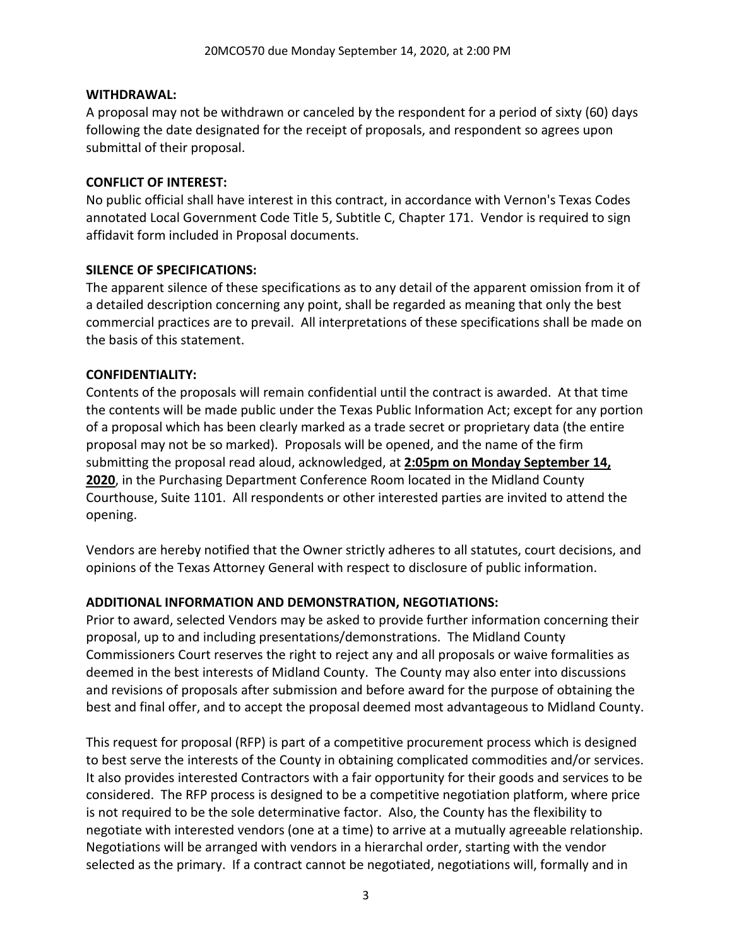### **WITHDRAWAL:**

A proposal may not be withdrawn or canceled by the respondent for a period of sixty (60) days following the date designated for the receipt of proposals, and respondent so agrees upon submittal of their proposal.

### **CONFLICT OF INTEREST:**

No public official shall have interest in this contract, in accordance with Vernon's Texas Codes annotated Local Government Code Title 5, Subtitle C, Chapter 171. Vendor is required to sign affidavit form included in Proposal documents.

## **SILENCE OF SPECIFICATIONS:**

The apparent silence of these specifications as to any detail of the apparent omission from it of a detailed description concerning any point, shall be regarded as meaning that only the best commercial practices are to prevail. All interpretations of these specifications shall be made on the basis of this statement.

## **CONFIDENTIALITY:**

Contents of the proposals will remain confidential until the contract is awarded. At that time the contents will be made public under the Texas Public Information Act; except for any portion of a proposal which has been clearly marked as a trade secret or proprietary data (the entire proposal may not be so marked). Proposals will be opened, and the name of the firm submitting the proposal read aloud, acknowledged, at **2:05pm on Monday September 14, 2020**, in the Purchasing Department Conference Room located in the Midland County Courthouse, Suite 1101. All respondents or other interested parties are invited to attend the opening.

Vendors are hereby notified that the Owner strictly adheres to all statutes, court decisions, and opinions of the Texas Attorney General with respect to disclosure of public information.

## **ADDITIONAL INFORMATION AND DEMONSTRATION, NEGOTIATIONS:**

Prior to award, selected Vendors may be asked to provide further information concerning their proposal, up to and including presentations/demonstrations. The Midland County Commissioners Court reserves the right to reject any and all proposals or waive formalities as deemed in the best interests of Midland County. The County may also enter into discussions and revisions of proposals after submission and before award for the purpose of obtaining the best and final offer, and to accept the proposal deemed most advantageous to Midland County.

This request for proposal (RFP) is part of a competitive procurement process which is designed to best serve the interests of the County in obtaining complicated commodities and/or services. It also provides interested Contractors with a fair opportunity for their goods and services to be considered. The RFP process is designed to be a competitive negotiation platform, where price is not required to be the sole determinative factor. Also, the County has the flexibility to negotiate with interested vendors (one at a time) to arrive at a mutually agreeable relationship. Negotiations will be arranged with vendors in a hierarchal order, starting with the vendor selected as the primary. If a contract cannot be negotiated, negotiations will, formally and in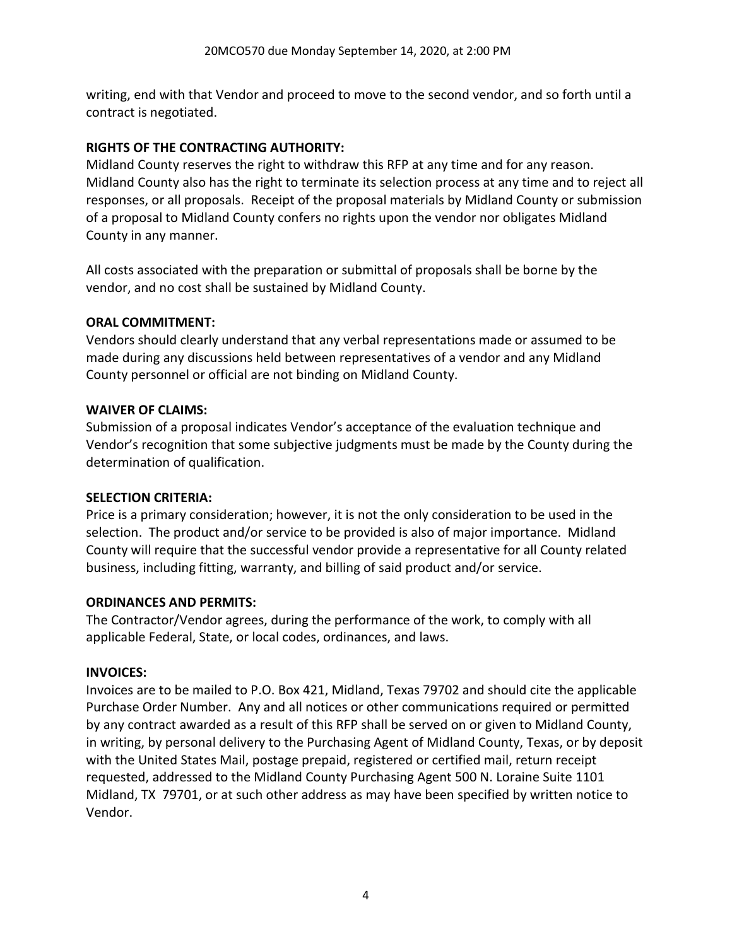writing, end with that Vendor and proceed to move to the second vendor, and so forth until a contract is negotiated.

## **RIGHTS OF THE CONTRACTING AUTHORITY:**

Midland County reserves the right to withdraw this RFP at any time and for any reason. Midland County also has the right to terminate its selection process at any time and to reject all responses, or all proposals. Receipt of the proposal materials by Midland County or submission of a proposal to Midland County confers no rights upon the vendor nor obligates Midland County in any manner.

All costs associated with the preparation or submittal of proposals shall be borne by the vendor, and no cost shall be sustained by Midland County.

## **ORAL COMMITMENT:**

Vendors should clearly understand that any verbal representations made or assumed to be made during any discussions held between representatives of a vendor and any Midland County personnel or official are not binding on Midland County.

## **WAIVER OF CLAIMS:**

Submission of a proposal indicates Vendor's acceptance of the evaluation technique and Vendor's recognition that some subjective judgments must be made by the County during the determination of qualification.

#### **SELECTION CRITERIA:**

Price is a primary consideration; however, it is not the only consideration to be used in the selection. The product and/or service to be provided is also of major importance. Midland County will require that the successful vendor provide a representative for all County related business, including fitting, warranty, and billing of said product and/or service.

#### **ORDINANCES AND PERMITS:**

The Contractor/Vendor agrees, during the performance of the work, to comply with all applicable Federal, State, or local codes, ordinances, and laws.

#### **INVOICES:**

Invoices are to be mailed to P.O. Box 421, Midland, Texas 79702 and should cite the applicable Purchase Order Number. Any and all notices or other communications required or permitted by any contract awarded as a result of this RFP shall be served on or given to Midland County, in writing, by personal delivery to the Purchasing Agent of Midland County, Texas, or by deposit with the United States Mail, postage prepaid, registered or certified mail, return receipt requested, addressed to the Midland County Purchasing Agent 500 N. Loraine Suite 1101 Midland, TX 79701, or at such other address as may have been specified by written notice to Vendor.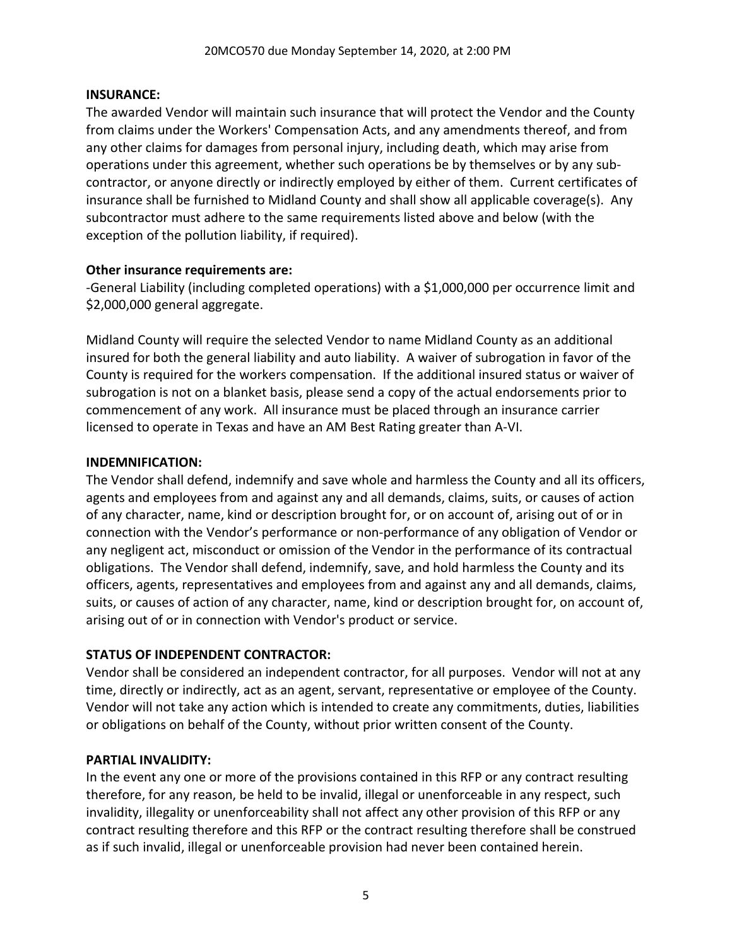### **INSURANCE:**

The awarded Vendor will maintain such insurance that will protect the Vendor and the County from claims under the Workers' Compensation Acts, and any amendments thereof, and from any other claims for damages from personal injury, including death, which may arise from operations under this agreement, whether such operations be by themselves or by any subcontractor, or anyone directly or indirectly employed by either of them. Current certificates of insurance shall be furnished to Midland County and shall show all applicable coverage(s). Any subcontractor must adhere to the same requirements listed above and below (with the exception of the pollution liability, if required).

## **Other insurance requirements are:**

-General Liability (including completed operations) with a \$1,000,000 per occurrence limit and \$2,000,000 general aggregate.

Midland County will require the selected Vendor to name Midland County as an additional insured for both the general liability and auto liability. A waiver of subrogation in favor of the County is required for the workers compensation. If the additional insured status or waiver of subrogation is not on a blanket basis, please send a copy of the actual endorsements prior to commencement of any work. All insurance must be placed through an insurance carrier licensed to operate in Texas and have an AM Best Rating greater than A-VI.

## **INDEMNIFICATION:**

The Vendor shall defend, indemnify and save whole and harmless the County and all its officers, agents and employees from and against any and all demands, claims, suits, or causes of action of any character, name, kind or description brought for, or on account of, arising out of or in connection with the Vendor's performance or non-performance of any obligation of Vendor or any negligent act, misconduct or omission of the Vendor in the performance of its contractual obligations. The Vendor shall defend, indemnify, save, and hold harmless the County and its officers, agents, representatives and employees from and against any and all demands, claims, suits, or causes of action of any character, name, kind or description brought for, on account of, arising out of or in connection with Vendor's product or service.

## **STATUS OF INDEPENDENT CONTRACTOR:**

Vendor shall be considered an independent contractor, for all purposes. Vendor will not at any time, directly or indirectly, act as an agent, servant, representative or employee of the County. Vendor will not take any action which is intended to create any commitments, duties, liabilities or obligations on behalf of the County, without prior written consent of the County.

## **PARTIAL INVALIDITY:**

In the event any one or more of the provisions contained in this RFP or any contract resulting therefore, for any reason, be held to be invalid, illegal or unenforceable in any respect, such invalidity, illegality or unenforceability shall not affect any other provision of this RFP or any contract resulting therefore and this RFP or the contract resulting therefore shall be construed as if such invalid, illegal or unenforceable provision had never been contained herein.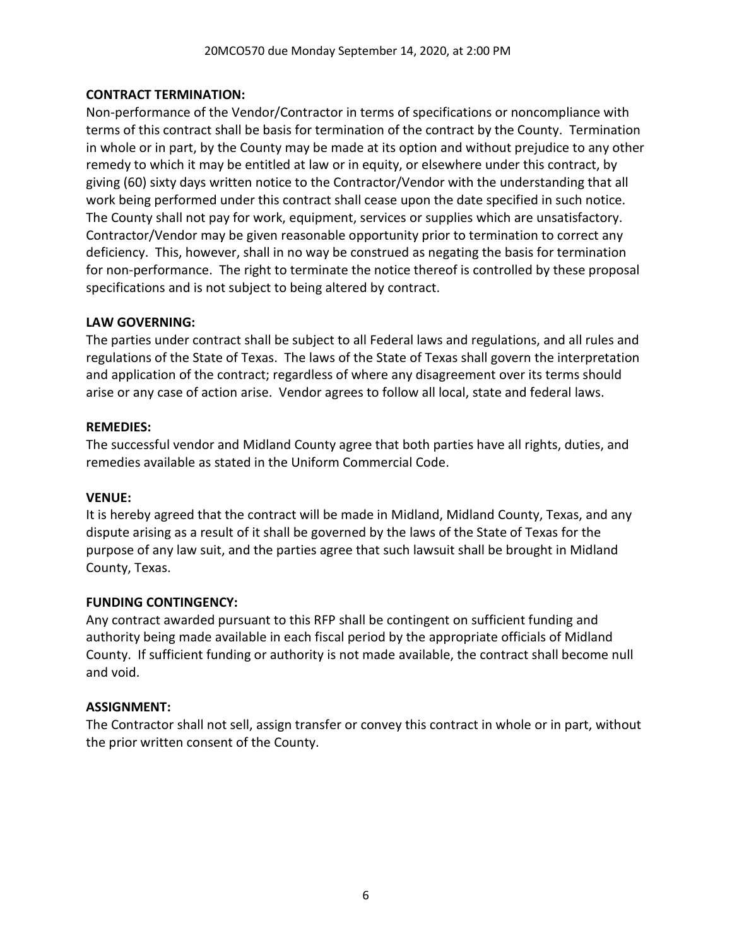## **CONTRACT TERMINATION:**

Non-performance of the Vendor/Contractor in terms of specifications or noncompliance with terms of this contract shall be basis for termination of the contract by the County. Termination in whole or in part, by the County may be made at its option and without prejudice to any other remedy to which it may be entitled at law or in equity, or elsewhere under this contract, by giving (60) sixty days written notice to the Contractor/Vendor with the understanding that all work being performed under this contract shall cease upon the date specified in such notice. The County shall not pay for work, equipment, services or supplies which are unsatisfactory. Contractor/Vendor may be given reasonable opportunity prior to termination to correct any deficiency. This, however, shall in no way be construed as negating the basis for termination for non-performance. The right to terminate the notice thereof is controlled by these proposal specifications and is not subject to being altered by contract.

## **LAW GOVERNING:**

The parties under contract shall be subject to all Federal laws and regulations, and all rules and regulations of the State of Texas. The laws of the State of Texas shall govern the interpretation and application of the contract; regardless of where any disagreement over its terms should arise or any case of action arise. Vendor agrees to follow all local, state and federal laws.

#### **REMEDIES:**

The successful vendor and Midland County agree that both parties have all rights, duties, and remedies available as stated in the Uniform Commercial Code.

#### **VENUE:**

It is hereby agreed that the contract will be made in Midland, Midland County, Texas, and any dispute arising as a result of it shall be governed by the laws of the State of Texas for the purpose of any law suit, and the parties agree that such lawsuit shall be brought in Midland County, Texas.

#### **FUNDING CONTINGENCY:**

Any contract awarded pursuant to this RFP shall be contingent on sufficient funding and authority being made available in each fiscal period by the appropriate officials of Midland County. If sufficient funding or authority is not made available, the contract shall become null and void.

#### **ASSIGNMENT:**

The Contractor shall not sell, assign transfer or convey this contract in whole or in part, without the prior written consent of the County.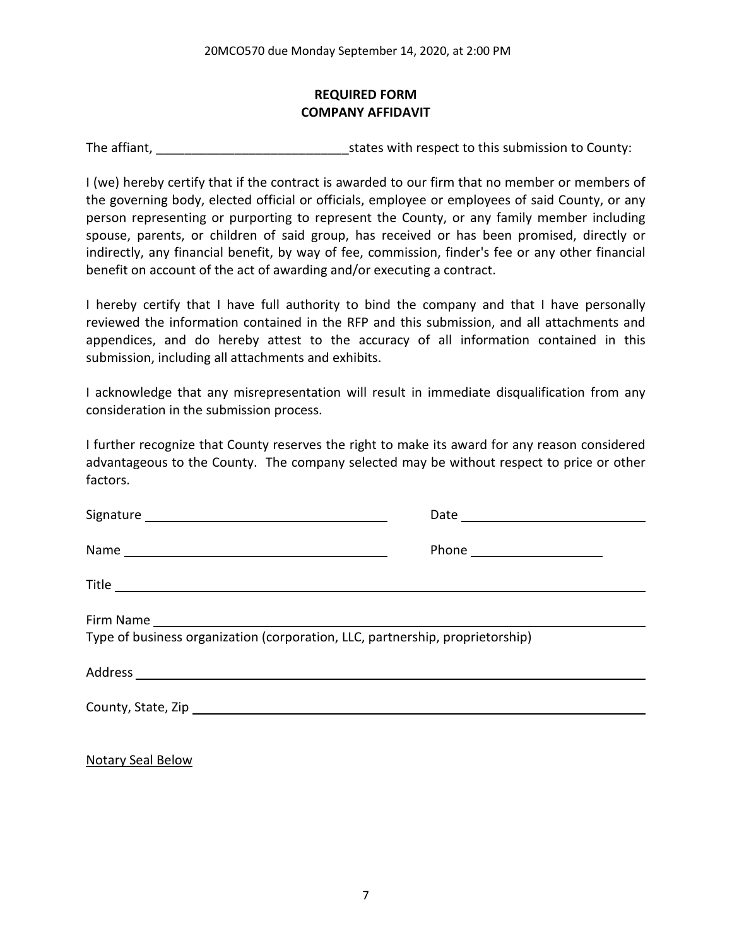# **REQUIRED FORM COMPANY AFFIDAVIT**

The affiant, The affiant, The affiant,  $\frac{1}{2}$  states with respect to this submission to County:

I (we) hereby certify that if the contract is awarded to our firm that no member or members of the governing body, elected official or officials, employee or employees of said County, or any person representing or purporting to represent the County, or any family member including spouse, parents, or children of said group, has received or has been promised, directly or indirectly, any financial benefit, by way of fee, commission, finder's fee or any other financial benefit on account of the act of awarding and/or executing a contract.

I hereby certify that I have full authority to bind the company and that I have personally reviewed the information contained in the RFP and this submission, and all attachments and appendices, and do hereby attest to the accuracy of all information contained in this submission, including all attachments and exhibits.

I acknowledge that any misrepresentation will result in immediate disqualification from any consideration in the submission process.

I further recognize that County reserves the right to make its award for any reason considered advantageous to the County. The company selected may be without respect to price or other factors.

|                                                                               | Phone _______________________ |  |  |  |  |
|-------------------------------------------------------------------------------|-------------------------------|--|--|--|--|
|                                                                               |                               |  |  |  |  |
| Type of business organization (corporation, LLC, partnership, proprietorship) |                               |  |  |  |  |
|                                                                               |                               |  |  |  |  |
|                                                                               |                               |  |  |  |  |
|                                                                               |                               |  |  |  |  |

Notary Seal Below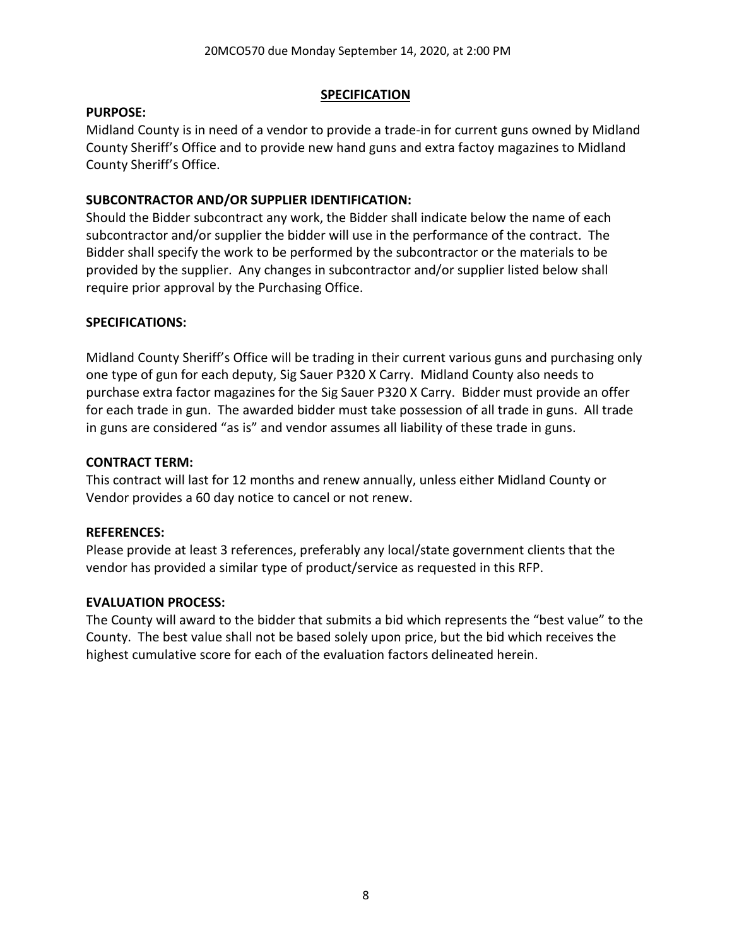### **SPECIFICATION**

### **PURPOSE:**

Midland County is in need of a vendor to provide a trade-in for current guns owned by Midland County Sheriff's Office and to provide new hand guns and extra factoy magazines to Midland County Sheriff's Office.

## **SUBCONTRACTOR AND/OR SUPPLIER IDENTIFICATION:**

Should the Bidder subcontract any work, the Bidder shall indicate below the name of each subcontractor and/or supplier the bidder will use in the performance of the contract. The Bidder shall specify the work to be performed by the subcontractor or the materials to be provided by the supplier. Any changes in subcontractor and/or supplier listed below shall require prior approval by the Purchasing Office.

## **SPECIFICATIONS:**

Midland County Sheriff's Office will be trading in their current various guns and purchasing only one type of gun for each deputy, Sig Sauer P320 X Carry. Midland County also needs to purchase extra factor magazines for the Sig Sauer P320 X Carry. Bidder must provide an offer for each trade in gun. The awarded bidder must take possession of all trade in guns. All trade in guns are considered "as is" and vendor assumes all liability of these trade in guns.

#### **CONTRACT TERM:**

This contract will last for 12 months and renew annually, unless either Midland County or Vendor provides a 60 day notice to cancel or not renew.

#### **REFERENCES:**

Please provide at least 3 references, preferably any local/state government clients that the vendor has provided a similar type of product/service as requested in this RFP.

#### **EVALUATION PROCESS:**

The County will award to the bidder that submits a bid which represents the "best value" to the County. The best value shall not be based solely upon price, but the bid which receives the highest cumulative score for each of the evaluation factors delineated herein.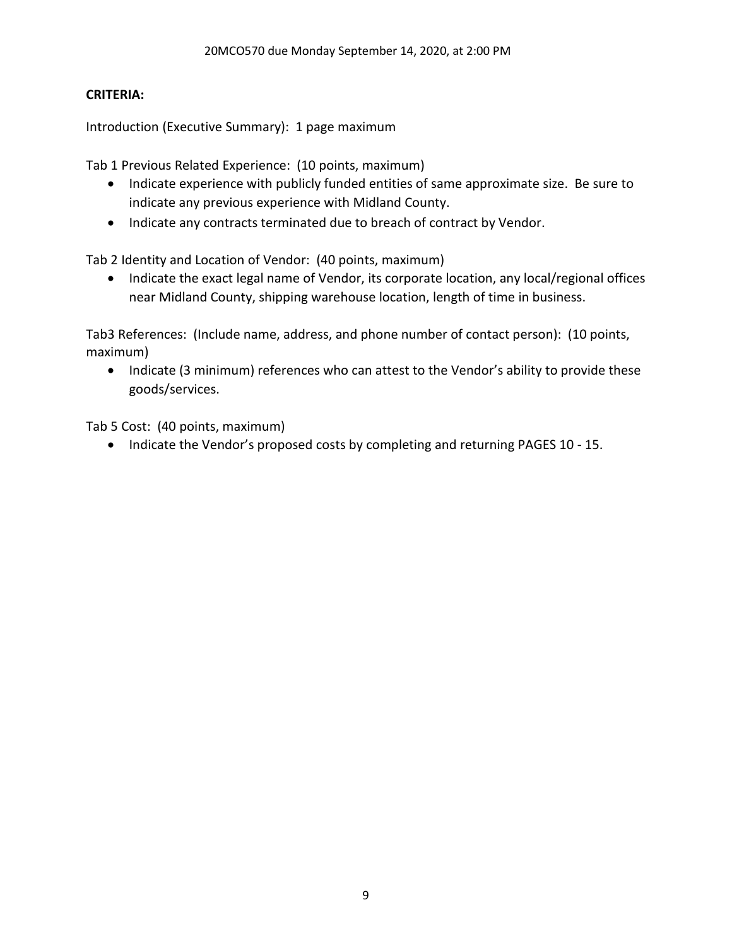## **CRITERIA:**

Introduction (Executive Summary): 1 page maximum

Tab 1 Previous Related Experience: (10 points, maximum)

- Indicate experience with publicly funded entities of same approximate size. Be sure to indicate any previous experience with Midland County.
- Indicate any contracts terminated due to breach of contract by Vendor.

Tab 2 Identity and Location of Vendor: (40 points, maximum)

• Indicate the exact legal name of Vendor, its corporate location, any local/regional offices near Midland County, shipping warehouse location, length of time in business.

Tab3 References: (Include name, address, and phone number of contact person): (10 points, maximum)

• Indicate (3 minimum) references who can attest to the Vendor's ability to provide these goods/services.

Tab 5 Cost: (40 points, maximum)

• Indicate the Vendor's proposed costs by completing and returning PAGES 10 - 15.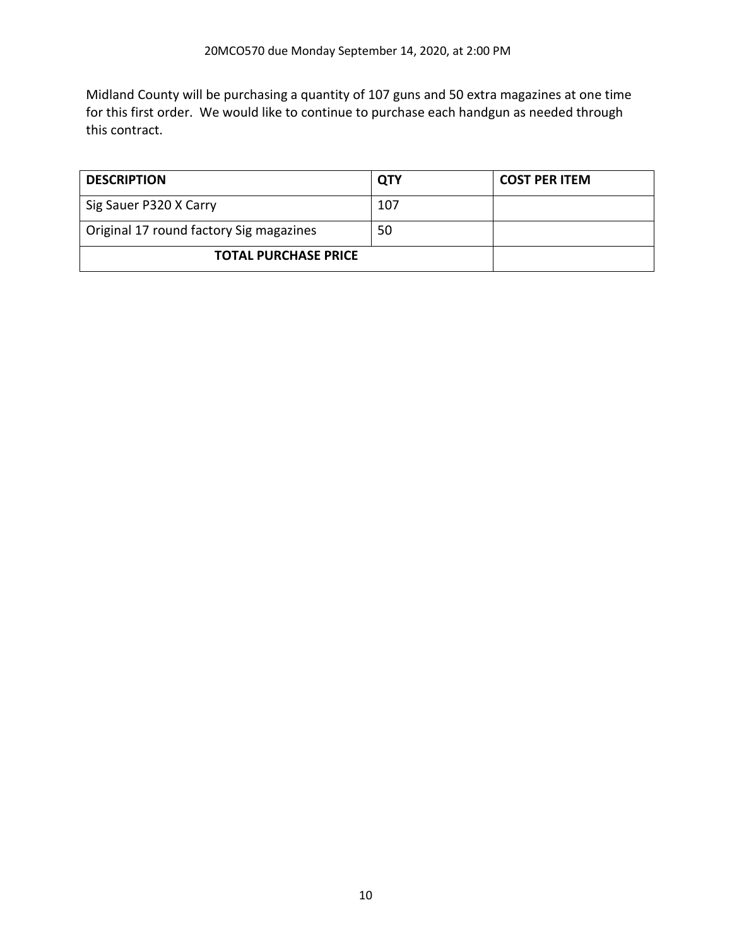Midland County will be purchasing a quantity of 107 guns and 50 extra magazines at one time for this first order. We would like to continue to purchase each handgun as needed through this contract.

| <b>DESCRIPTION</b>                      | <b>QTY</b> | <b>COST PER ITEM</b> |
|-----------------------------------------|------------|----------------------|
| Sig Sauer P320 X Carry                  | 107        |                      |
| Original 17 round factory Sig magazines | 50         |                      |
| <b>TOTAL PURCHASE PRICE</b>             |            |                      |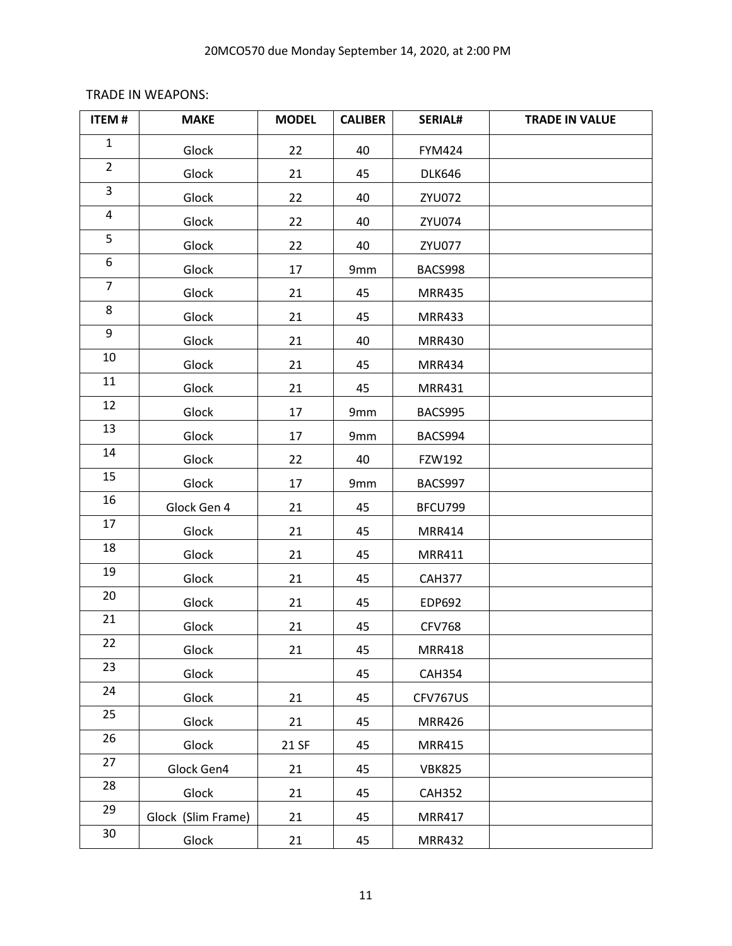# TRADE IN WEAPONS:

| <b>ITEM#</b>   | <b>MAKE</b>        | <b>MODEL</b> | <b>CALIBER</b> | <b>SERIAL#</b> | <b>TRADE IN VALUE</b> |
|----------------|--------------------|--------------|----------------|----------------|-----------------------|
| $\mathbf{1}$   | Glock              | 22           | 40             | <b>FYM424</b>  |                       |
| $\overline{2}$ | Glock              | 21           | 45             | <b>DLK646</b>  |                       |
| 3              | Glock              | 22           | 40             | ZYU072         |                       |
| 4              | Glock              | 22           | 40             | ZYU074         |                       |
| 5              | Glock              | 22           | 40             | ZYU077         |                       |
| 6              | Glock              | 17           | 9mm            | BACS998        |                       |
| $\overline{7}$ | Glock              | 21           | 45             | <b>MRR435</b>  |                       |
| 8              | Glock              | 21           | 45             | <b>MRR433</b>  |                       |
| 9              | Glock              | 21           | 40             | <b>MRR430</b>  |                       |
| 10             | Glock              | 21           | 45             | <b>MRR434</b>  |                       |
| 11             | Glock              | 21           | 45             | <b>MRR431</b>  |                       |
| 12             | Glock              | 17           | 9mm            | BACS995        |                       |
| 13             | Glock              | 17           | 9mm            | BACS994        |                       |
| 14             | Glock              | 22           | 40             | FZW192         |                       |
| 15             | Glock              | 17           | 9mm            | BACS997        |                       |
| 16             | Glock Gen 4        | 21           | 45             | BFCU799        |                       |
| 17             | Glock              | 21           | 45             | <b>MRR414</b>  |                       |
| 18             | Glock              | 21           | 45             | <b>MRR411</b>  |                       |
| 19             | Glock              | 21           | 45             | <b>CAH377</b>  |                       |
| 20             | Glock              | 21           | 45             | EDP692         |                       |
| 21             | Glock              | 21           | 45             | <b>CFV768</b>  |                       |
| 22             | Glock              | 21           | 45             | <b>MRR418</b>  |                       |
| 23             | Glock              |              | 45             | <b>CAH354</b>  |                       |
| 24             | Glock              | 21           | 45             | CFV767US       |                       |
| 25             | Glock              | 21           | 45             | <b>MRR426</b>  |                       |
| 26             | Glock              | 21 SF        | 45             | <b>MRR415</b>  |                       |
| 27             | Glock Gen4         | 21           | 45             | <b>VBK825</b>  |                       |
| 28             | Glock              | 21           | 45             | <b>CAH352</b>  |                       |
| 29             | Glock (Slim Frame) | 21           | 45             | <b>MRR417</b>  |                       |
| 30             | Glock              | 21           | 45             | <b>MRR432</b>  |                       |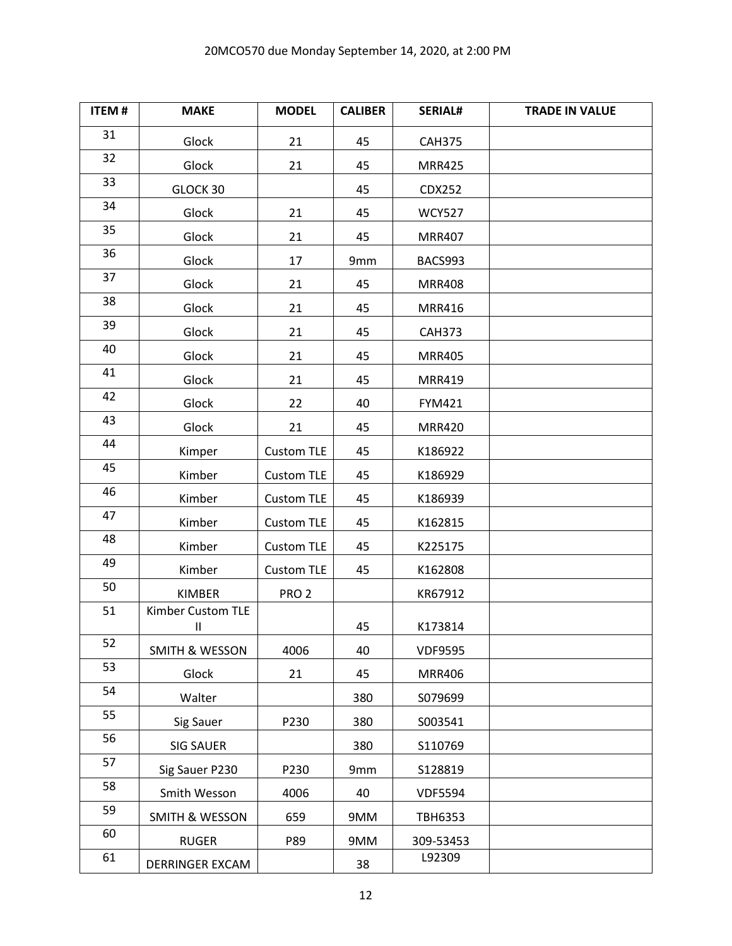| <b>ITEM#</b> | <b>MAKE</b>                       | <b>MODEL</b>      | <b>CALIBER</b> | <b>SERIAL#</b> | <b>TRADE IN VALUE</b> |
|--------------|-----------------------------------|-------------------|----------------|----------------|-----------------------|
| 31           | Glock                             | 21                | 45             | <b>CAH375</b>  |                       |
| 32           | Glock                             | 21                | 45             | <b>MRR425</b>  |                       |
| 33           | GLOCK 30                          |                   | 45             | CDX252         |                       |
| 34           | Glock                             | 21                | 45             | <b>WCY527</b>  |                       |
| 35           | Glock                             | 21                | 45             | <b>MRR407</b>  |                       |
| 36           | Glock                             | 17                | 9mm            | BACS993        |                       |
| 37           | Glock                             | 21                | 45             | <b>MRR408</b>  |                       |
| 38           | Glock                             | 21                | 45             | <b>MRR416</b>  |                       |
| 39           | Glock                             | 21                | 45             | <b>CAH373</b>  |                       |
| 40           | Glock                             | 21                | 45             | <b>MRR405</b>  |                       |
| 41           | Glock                             | 21                | 45             | <b>MRR419</b>  |                       |
| 42           | Glock                             | 22                | 40             | <b>FYM421</b>  |                       |
| 43           | Glock                             | 21                | 45             | <b>MRR420</b>  |                       |
| 44           | Kimper                            | <b>Custom TLE</b> | 45             | K186922        |                       |
| 45           | Kimber                            | <b>Custom TLE</b> | 45             | K186929        |                       |
| 46           | Kimber                            | <b>Custom TLE</b> | 45             | K186939        |                       |
| 47           | Kimber                            | Custom TLE        | 45             | K162815        |                       |
| 48           | Kimber                            | <b>Custom TLE</b> | 45             | K225175        |                       |
| 49           | Kimber                            | <b>Custom TLE</b> | 45             | K162808        |                       |
| 50           | <b>KIMBER</b>                     | PRO <sub>2</sub>  |                | KR67912        |                       |
| 51           | Kimber Custom TLE<br>$\mathbf{I}$ |                   | 45             | K173814        |                       |
| 52           | <b>SMITH &amp; WESSON</b>         | 4006              | 40             | <b>VDF9595</b> |                       |
| 53           | Glock                             | 21                | 45             | <b>MRR406</b>  |                       |
| 54           | Walter                            |                   | 380            | S079699        |                       |
| 55           | Sig Sauer                         | P230              | 380            | S003541        |                       |
| 56           | <b>SIG SAUER</b>                  |                   | 380            | S110769        |                       |
| 57           | Sig Sauer P230                    | P230              | 9mm            | S128819        |                       |
| 58           | Smith Wesson                      | 4006              | 40             | <b>VDF5594</b> |                       |
| 59           | <b>SMITH &amp; WESSON</b>         | 659               | 9MM            | <b>TBH6353</b> |                       |
| 60           | <b>RUGER</b>                      | P89               | 9MM            | 309-53453      |                       |
| 61           | DERRINGER EXCAM                   |                   | 38             | L92309         |                       |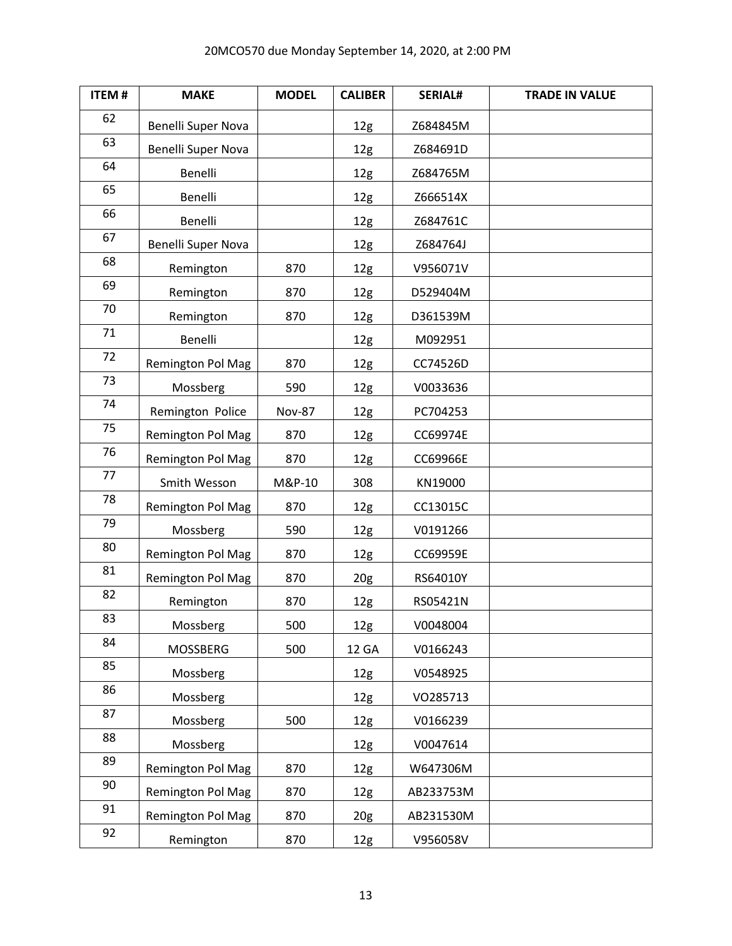| <b>ITEM#</b> | <b>MAKE</b>        | <b>MODEL</b>  | <b>CALIBER</b>  | <b>SERIAL#</b> | <b>TRADE IN VALUE</b> |
|--------------|--------------------|---------------|-----------------|----------------|-----------------------|
| 62           | Benelli Super Nova |               | 12g             | Z684845M       |                       |
| 63           | Benelli Super Nova |               | 12g             | Z684691D       |                       |
| 64           | Benelli            |               | 12g             | Z684765M       |                       |
| 65           | Benelli            |               | 12g             | Z666514X       |                       |
| 66           | Benelli            |               | 12g             | Z684761C       |                       |
| 67           | Benelli Super Nova |               | 12 <sub>g</sub> | Z684764J       |                       |
| 68           | Remington          | 870           | 12g             | V956071V       |                       |
| 69           | Remington          | 870           | 12g             | D529404M       |                       |
| 70           | Remington          | 870           | 12g             | D361539M       |                       |
| 71           | Benelli            |               | 12g             | M092951        |                       |
| 72           | Remington Pol Mag  | 870           | 12g             | CC74526D       |                       |
| 73           | Mossberg           | 590           | 12 <sub>g</sub> | V0033636       |                       |
| 74           | Remington Police   | <b>Nov-87</b> | 12g             | PC704253       |                       |
| 75           | Remington Pol Mag  | 870           | 12g             | CC69974E       |                       |
| 76           | Remington Pol Mag  | 870           | 12g             | CC69966E       |                       |
| 77           | Smith Wesson       | M&P-10        | 308             | KN19000        |                       |
| 78           | Remington Pol Mag  | 870           | 12g             | CC13015C       |                       |
| 79           | Mossberg           | 590           | 12 <sub>g</sub> | V0191266       |                       |
| 80           | Remington Pol Mag  | 870           | 12g             | CC69959E       |                       |
| 81           | Remington Pol Mag  | 870           | 20 <sub>g</sub> | RS64010Y       |                       |
| 82           | Remington          | 870           | 12g             | RS05421N       |                       |
| 83           | Mossberg           | 500           | 12g             | V0048004       |                       |
| 84           | MOSSBERG           | 500           | 12 GA           | V0166243       |                       |
| 85           | Mossberg           |               | 12g             | V0548925       |                       |
| 86           | Mossberg           |               | 12g             | VO285713       |                       |
| 87           | Mossberg           | 500           | 12g             | V0166239       |                       |
| 88           | Mossberg           |               | 12g             | V0047614       |                       |
| 89           | Remington Pol Mag  | 870           | 12 <sub>g</sub> | W647306M       |                       |
| 90           | Remington Pol Mag  | 870           | 12 <sub>g</sub> | AB233753M      |                       |
| 91           | Remington Pol Mag  | 870           | 20 <sub>g</sub> | AB231530M      |                       |
| 92           | Remington          | 870           | 12g             | V956058V       |                       |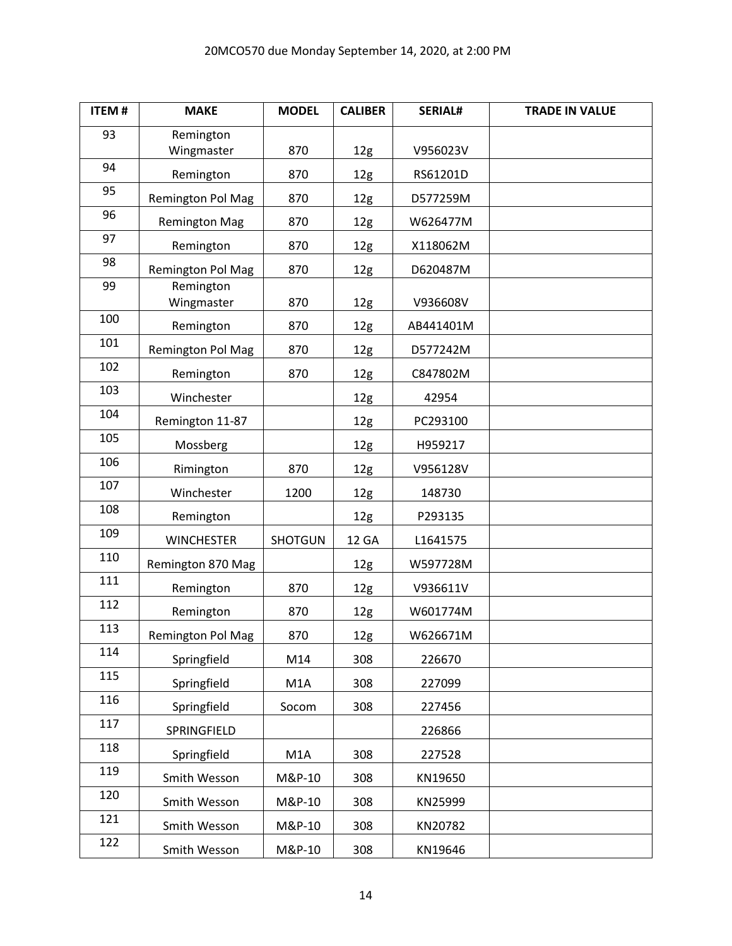| <b>ITEM#</b> | <b>MAKE</b>              | <b>MODEL</b>     | <b>CALIBER</b>  | <b>SERIAL#</b> | <b>TRADE IN VALUE</b> |
|--------------|--------------------------|------------------|-----------------|----------------|-----------------------|
| 93           | Remington<br>Wingmaster  | 870              | 12g             | V956023V       |                       |
| 94           | Remington                | 870              | 12g             | RS61201D       |                       |
| 95           | <b>Remington Pol Mag</b> | 870              | 12 <sub>g</sub> | D577259M       |                       |
| 96           | <b>Remington Mag</b>     | 870              | 12 <sub>g</sub> | W626477M       |                       |
| 97           | Remington                | 870              | 12g             | X118062M       |                       |
| 98           | Remington Pol Mag        | 870              | 12 <sub>g</sub> | D620487M       |                       |
| 99           | Remington<br>Wingmaster  | 870              | 12g             | V936608V       |                       |
| 100          | Remington                | 870              | 12g             | AB441401M      |                       |
| 101          | <b>Remington Pol Mag</b> | 870              | 12 <sub>g</sub> | D577242M       |                       |
| 102          | Remington                | 870              | 12g             | C847802M       |                       |
| 103          | Winchester               |                  | 12 <sub>g</sub> | 42954          |                       |
| 104          | Remington 11-87          |                  | 12 <sub>g</sub> | PC293100       |                       |
| 105          | Mossberg                 |                  | 12g             | H959217        |                       |
| 106          | Rimington                | 870              | 12 <sub>g</sub> | V956128V       |                       |
| 107          | Winchester               | 1200             | 12 <sub>g</sub> | 148730         |                       |
| 108          | Remington                |                  | 12g             | P293135        |                       |
| 109          | <b>WINCHESTER</b>        | <b>SHOTGUN</b>   | 12 GA           | L1641575       |                       |
| 110          | Remington 870 Mag        |                  | 12 <sub>g</sub> | W597728M       |                       |
| 111          | Remington                | 870              | 12 <sub>g</sub> | V936611V       |                       |
| 112          | Remington                | 870              | 12g             | W601774M       |                       |
| 113          | Remington Pol Mag        | 870              | 12g             | W626671M       |                       |
| 114          | Springfield              | M14              | 308             | 226670         |                       |
| 115          | Springfield              | M <sub>1</sub> A | 308             | 227099         |                       |
| 116          | Springfield              | Socom            | 308             | 227456         |                       |
| 117          | SPRINGFIELD              |                  |                 | 226866         |                       |
| 118          | Springfield              | M1A              | 308             | 227528         |                       |
| 119          | Smith Wesson             | M&P-10           | 308             | KN19650        |                       |
| 120          | Smith Wesson             | M&P-10           | 308             | KN25999        |                       |
| 121          | Smith Wesson             | M&P-10           | 308             | KN20782        |                       |
| 122          | Smith Wesson             | M&P-10           | 308             | KN19646        |                       |